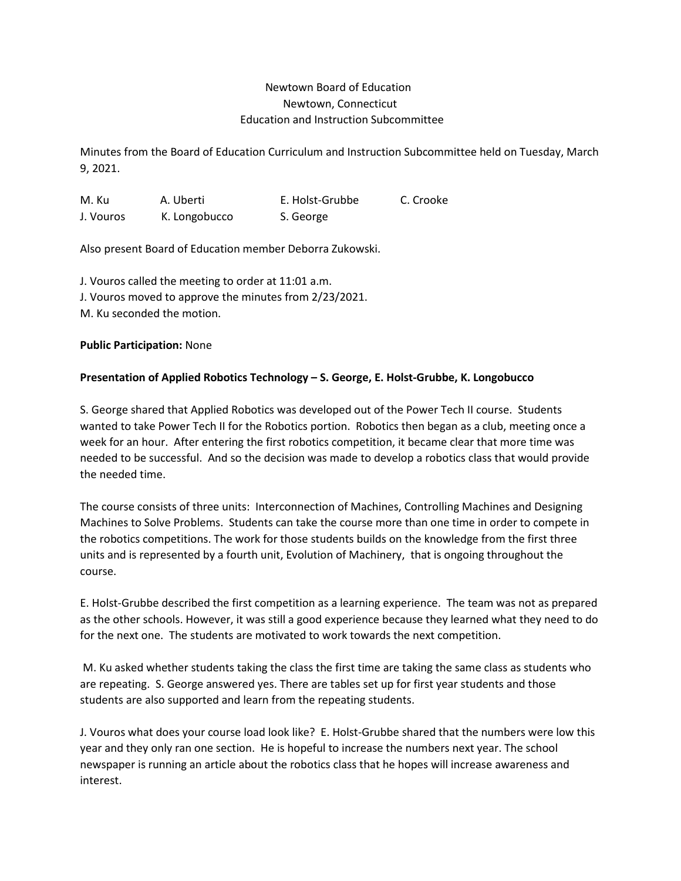# Newtown Board of Education Newtown, Connecticut Education and Instruction Subcommittee

Minutes from the Board of Education Curriculum and Instruction Subcommittee held on Tuesday, March 9, 2021.

M. Ku A. Uberti E. Holst-Grubbe C. Crooke J. Vouros K. Longobucco S. George

Also present Board of Education member Deborra Zukowski.

J. Vouros called the meeting to order at 11:01 a.m. J. Vouros moved to approve the minutes from 2/23/2021. M. Ku seconded the motion.

## **Public Participation:** None

## **Presentation of Applied Robotics Technology – S. George, E. Holst-Grubbe, K. Longobucco**

S. George shared that Applied Robotics was developed out of the Power Tech II course. Students wanted to take Power Tech II for the Robotics portion. Robotics then began as a club, meeting once a week for an hour. After entering the first robotics competition, it became clear that more time was needed to be successful. And so the decision was made to develop a robotics class that would provide the needed time.

The course consists of three units: Interconnection of Machines, Controlling Machines and Designing Machines to Solve Problems. Students can take the course more than one time in order to compete in the robotics competitions. The work for those students builds on the knowledge from the first three units and is represented by a fourth unit, Evolution of Machinery, that is ongoing throughout the course.

E. Holst-Grubbe described the first competition as a learning experience. The team was not as prepared as the other schools. However, it was still a good experience because they learned what they need to do for the next one. The students are motivated to work towards the next competition.

M. Ku asked whether students taking the class the first time are taking the same class as students who are repeating. S. George answered yes. There are tables set up for first year students and those students are also supported and learn from the repeating students.

J. Vouros what does your course load look like? E. Holst-Grubbe shared that the numbers were low this year and they only ran one section. He is hopeful to increase the numbers next year. The school newspaper is running an article about the robotics class that he hopes will increase awareness and interest.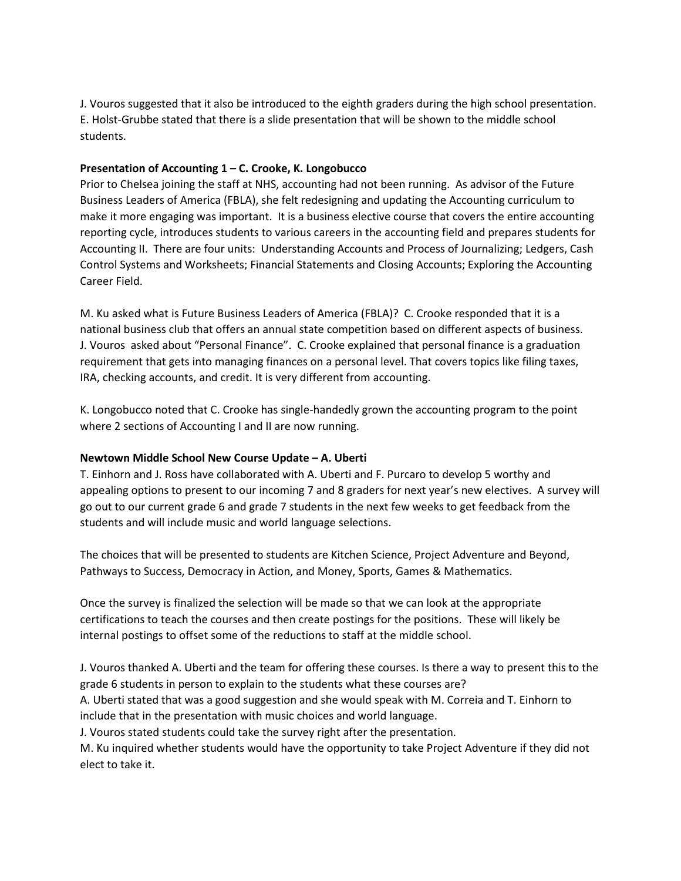J. Vouros suggested that it also be introduced to the eighth graders during the high school presentation. E. Holst-Grubbe stated that there is a slide presentation that will be shown to the middle school students.

## **Presentation of Accounting 1 – C. Crooke, K. Longobucco**

Prior to Chelsea joining the staff at NHS, accounting had not been running. As advisor of the Future Business Leaders of America (FBLA), she felt redesigning and updating the Accounting curriculum to make it more engaging was important. It is a business elective course that covers the entire accounting reporting cycle, introduces students to various careers in the accounting field and prepares students for Accounting II. There are four units: Understanding Accounts and Process of Journalizing; Ledgers, Cash Control Systems and Worksheets; Financial Statements and Closing Accounts; Exploring the Accounting Career Field.

M. Ku asked what is Future Business Leaders of America (FBLA)? C. Crooke responded that it is a national business club that offers an annual state competition based on different aspects of business. J. Vouros asked about "Personal Finance". C. Crooke explained that personal finance is a graduation requirement that gets into managing finances on a personal level. That covers topics like filing taxes, IRA, checking accounts, and credit. It is very different from accounting.

K. Longobucco noted that C. Crooke has single-handedly grown the accounting program to the point where 2 sections of Accounting I and II are now running.

## **Newtown Middle School New Course Update – A. Uberti**

T. Einhorn and J. Ross have collaborated with A. Uberti and F. Purcaro to develop 5 worthy and appealing options to present to our incoming 7 and 8 graders for next year's new electives. A survey will go out to our current grade 6 and grade 7 students in the next few weeks to get feedback from the students and will include music and world language selections.

The choices that will be presented to students are Kitchen Science, Project Adventure and Beyond, Pathways to Success, Democracy in Action, and Money, Sports, Games & Mathematics.

Once the survey is finalized the selection will be made so that we can look at the appropriate certifications to teach the courses and then create postings for the positions. These will likely be internal postings to offset some of the reductions to staff at the middle school.

J. Vouros thanked A. Uberti and the team for offering these courses. Is there a way to present this to the grade 6 students in person to explain to the students what these courses are?

A. Uberti stated that was a good suggestion and she would speak with M. Correia and T. Einhorn to include that in the presentation with music choices and world language.

J. Vouros stated students could take the survey right after the presentation.

M. Ku inquired whether students would have the opportunity to take Project Adventure if they did not elect to take it.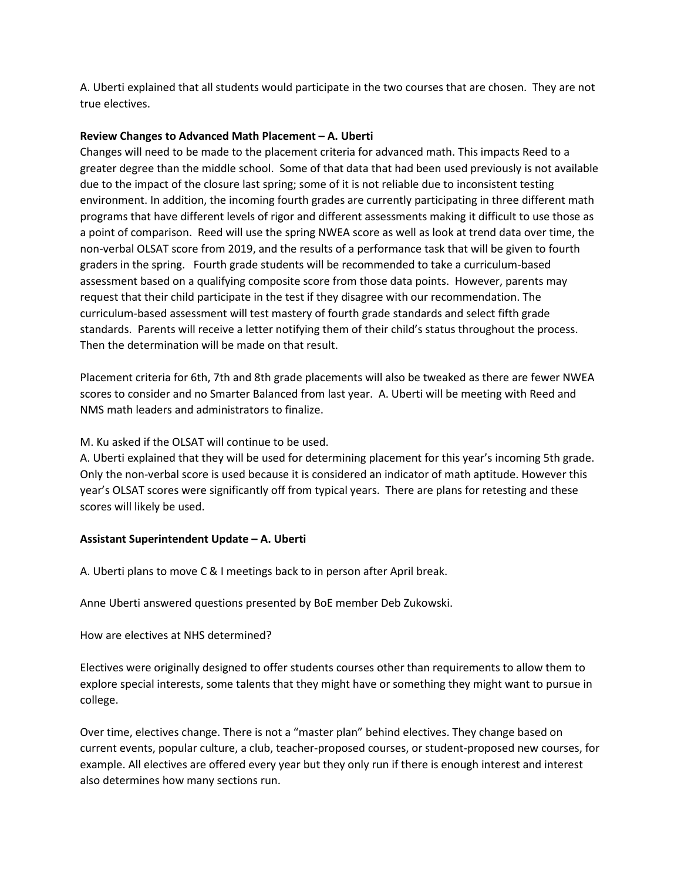A. Uberti explained that all students would participate in the two courses that are chosen. They are not true electives.

#### **Review Changes to Advanced Math Placement – A. Uberti**

Changes will need to be made to the placement criteria for advanced math. This impacts Reed to a greater degree than the middle school. Some of that data that had been used previously is not available due to the impact of the closure last spring; some of it is not reliable due to inconsistent testing environment. In addition, the incoming fourth grades are currently participating in three different math programs that have different levels of rigor and different assessments making it difficult to use those as a point of comparison. Reed will use the spring NWEA score as well as look at trend data over time, the non-verbal OLSAT score from 2019, and the results of a performance task that will be given to fourth graders in the spring. Fourth grade students will be recommended to take a curriculum-based assessment based on a qualifying composite score from those data points. However, parents may request that their child participate in the test if they disagree with our recommendation. The curriculum-based assessment will test mastery of fourth grade standards and select fifth grade standards. Parents will receive a letter notifying them of their child's status throughout the process. Then the determination will be made on that result.

Placement criteria for 6th, 7th and 8th grade placements will also be tweaked as there are fewer NWEA scores to consider and no Smarter Balanced from last year. A. Uberti will be meeting with Reed and NMS math leaders and administrators to finalize.

### M. Ku asked if the OLSAT will continue to be used.

A. Uberti explained that they will be used for determining placement for this year's incoming 5th grade. Only the non-verbal score is used because it is considered an indicator of math aptitude. However this year's OLSAT scores were significantly off from typical years. There are plans for retesting and these scores will likely be used.

#### **Assistant Superintendent Update – A. Uberti**

A. Uberti plans to move C & I meetings back to in person after April break.

Anne Uberti answered questions presented by BoE member Deb Zukowski.

## How are electives at NHS determined?

Electives were originally designed to offer students courses other than requirements to allow them to explore special interests, some talents that they might have or something they might want to pursue in college.

Over time, electives change. There is not a "master plan" behind electives. They change based on current events, popular culture, a club, teacher-proposed courses, or student-proposed new courses, for example. All electives are offered every year but they only run if there is enough interest and interest also determines how many sections run.